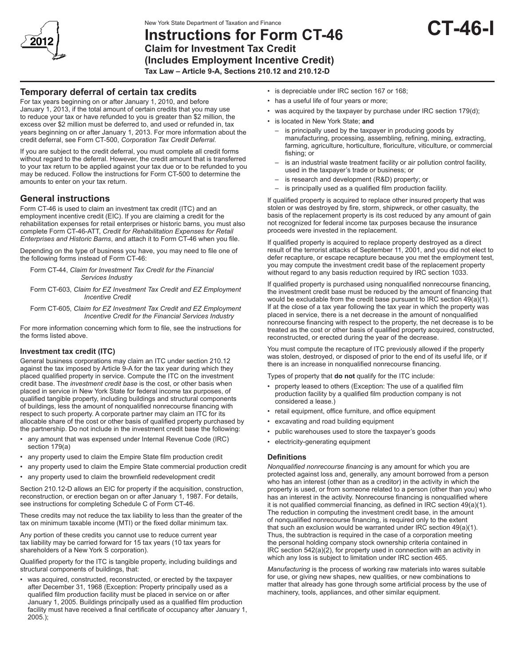

# **Instructions for Form CT-46 Claim for Investment Tax Credit (Includes Employment Incentive Credit) Tax Law – Article 9-A, Sections 210.12 and 210.12-D**

# **Temporary deferral of certain tax credits**

For tax years beginning on or after January 1, 2010, and before January 1, 2013, if the total amount of certain credits that you may use to reduce your tax or have refunded to you is greater than \$2 million, the excess over \$2 million must be deferred to, and used or refunded in, tax years beginning on or after January 1, 2013. For more information about the credit deferral, see Form CT-500, *Corporation Tax Credit Deferral.*

If you are subject to the credit deferral, you must complete all credit forms without regard to the deferral. However, the credit amount that is transferred to your tax return to be applied against your tax due or to be refunded to you may be reduced. Follow the instructions for Form CT-500 to determine the amounts to enter on your tax return.

## **General instructions**

Form CT-46 is used to claim an investment tax credit (ITC) and an employment incentive credit (EIC). If you are claiming a credit for the rehabilitation expenses for retail enterprises or historic barns, you must also complete Form CT-46-ATT, *Credit for Rehabilitation Expenses for Retail Enterprises and Historic Barns*, and attach it to Form CT‑46 when you file.

Depending on the type of business you have, you may need to file one of the following forms instead of Form CT-46:

Form CT-44, *Claim for Investment Tax Credit for the Financial Services Industry*

Form CT-603, *Claim for EZ Investment Tax Credit and EZ Employment Incentive Credit*

Form CT-605, *Claim for EZ Investment Tax Credit and EZ Employment Incentive Credit for the Financial Services Industry*

For more information concerning which form to file, see the instructions for the forms listed above.

## **Investment tax credit (ITC)**

General business corporations may claim an ITC under section 210.12 against the tax imposed by Article 9-A for the tax year during which they placed qualified property in service. Compute the ITC on the investment credit base. The *investment credit base* is the cost, or other basis when placed in service in New York State for federal income tax purposes, of qualified tangible property, including buildings and structural components of buildings, less the amount of nonqualified nonrecourse financing with respect to such property. A corporate partner may claim an ITC for its allocable share of the cost or other basis of qualified property purchased by the partnership. Do not include in the investment credit base the following:

- any amount that was expensed under Internal Revenue Code (IRC) section 179(a)
- any property used to claim the Empire State film production credit
- any property used to claim the Empire State commercial production credit
- any property used to claim the brownfield redevelopment credit

Section 210.12-D allows an EIC for property if the acquisition, construction, reconstruction, or erection began on or after January 1, 1987. For details, see instructions for completing Schedule C of Form CT-46.

These credits may not reduce the tax liability to less than the greater of the tax on minimum taxable income (MTI) or the fixed dollar minimum tax.

Any portion of these credits you cannot use to reduce current year tax liability may be carried forward for 15 tax years (10 tax years for shareholders of a New York S corporation).

Qualified property for the ITC is tangible property, including buildings and structural components of buildings, that:

was acquired, constructed, reconstructed, or erected by the taxpayer after December 31, 1968 (Exception: Property principally used as a qualified film production facility must be placed in service on or after January 1, 2005. Buildings principally used as a qualified film production facility must have received a final certificate of occupancy after January 1, 2005.);

- is depreciable under IRC section 167 or 168;
- has a useful life of four years or more;
- was acquired by the taxpayer by purchase under IRC section 179(d);
- is located in New York State; **and**
	- is principally used by the taxpayer in producing goods by manufacturing, processing, assembling, refining, mining, extracting, farming, agriculture, horticulture, floriculture, viticulture, or commercial fishing; or
	- is an industrial waste treatment facility or air pollution control facility, used in the taxpayer's trade or business; or
	- is research and development (R&D) property; or
	- is principally used as a qualified film production facility.

If qualified property is acquired to replace other insured property that was stolen or was destroyed by fire, storm, shipwreck, or other casualty, the basis of the replacement property is its cost reduced by any amount of gain not recognized for federal income tax purposes because the insurance proceeds were invested in the replacement.

If qualified property is acquired to replace property destroyed as a direct result of the terrorist attacks of September 11, 2001, and you did not elect to defer recapture, or escape recapture because you met the employment test, you may compute the investment credit base of the replacement property without regard to any basis reduction required by IRC section 1033.

If qualified property is purchased using nonqualified nonrecourse financing, the investment credit base must be reduced by the amount of financing that would be excludable from the credit base pursuant to IRC section 49(a)(1). If at the close of a tax year following the tax year in which the property was placed in service, there is a net decrease in the amount of nonqualified nonrecourse financing with respect to the property, the net decrease is to be treated as the cost or other basis of qualified property acquired, constructed, reconstructed, or erected during the year of the decrease.

You must compute the recapture of ITC previously allowed if the property was stolen, destroyed, or disposed of prior to the end of its useful life, or if there is an increase in nonqualified nonrecourse financing.

Types of property that **do not** qualify for the ITC include:

- property leased to others (Exception: The use of a qualified film production facility by a qualified film production company is not considered a lease.)
- retail equipment, office furniture, and office equipment
- excavating and road building equipment
- public warehouses used to store the taxpayer's goods
- electricity-generating equipment

#### **Definitions**

*Nonqualified nonrecourse financing* is any amount for which you are protected against loss and, generally, any amount borrowed from a person who has an interest (other than as a creditor) in the activity in which the property is used, or from someone related to a person (other than you) who has an interest in the activity. Nonrecourse financing is nonqualified where it is not qualified commercial financing, as defined in IRC section 49(a)(1). The reduction in computing the investment credit base, in the amount of nonqualified nonrecourse financing, is required only to the extent that such an exclusion would be warranted under IRC section 49(a)(1). Thus, the subtraction is required in the case of a corporation meeting the personal holding company stock ownership criteria contained in IRC section 542(a)(2), for property used in connection with an activity in which any loss is subject to limitation under IRC section 465.

*Manufacturing* is the process of working raw materials into wares suitable for use, or giving new shapes, new qualities, or new combinations to matter that already has gone through some artificial process by the use of machinery, tools, appliances, and other similar equipment.

**CT-46-I**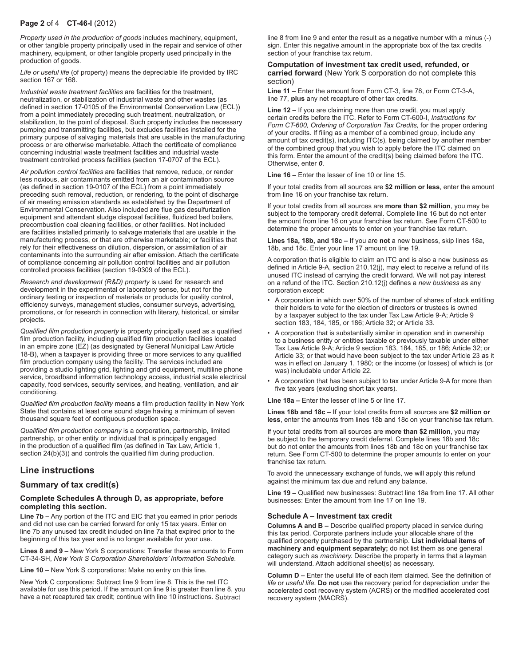## **Page 2** of 4 **CT-46-I** (2012)

*Property used in the production of goods* includes machinery, equipment, or other tangible property principally used in the repair and service of other machinery, equipment, or other tangible property used principally in the production of goods.

*Life or useful life* (of property) means the depreciable life provided by IRC section 167 or 168.

*Industrial waste treatment facilities* are facilities for the treatment, neutralization, or stabilization of industrial waste and other wastes (as defined in section 17-0105 of the Environmental Conservation Law (ECL)) from a point immediately preceding such treatment, neutralization, or stabilization, to the point of disposal. Such property includes the necessary pumping and transmitting facilities, but excludes facilities installed for the primary purpose of salvaging materials that are usable in the manufacturing process or are otherwise marketable. Attach the certificate of compliance concerning industrial waste treatment facilities and industrial waste treatment controlled process facilities (section 17‑0707 of the ECL).

*Air pollution control facilities* are facilities that remove, reduce, or render less noxious, air contaminants emitted from an air contamination source (as defined in section 19-0107 of the ECL) from a point immediately preceding such removal, reduction, or rendering, to the point of discharge of air meeting emission standards as established by the Department of Environmental Conservation. Also included are flue gas desulfurization equipment and attendant sludge disposal facilities, fluidized bed boilers, precombustion coal cleaning facilities, or other facilities. Not included are facilities installed primarily to salvage materials that are usable in the manufacturing process, or that are otherwise marketable; or facilities that rely for their effectiveness on dilution, dispersion, or assimilation of air contaminants into the surrounding air after emission. Attach the certificate of compliance concerning air pollution control facilities and air pollution controlled process facilities (section 19-0309 of the ECL).

*Research and development (R&D) property* is used for research and development in the experimental or laboratory sense, but not for the ordinary testing or inspection of materials or products for quality control, efficiency surveys, management studies, consumer surveys, advertising, promotions, or for research in connection with literary, historical, or similar projects.

*Qualified film production property* is property principally used as a qualified film production facility, including qualified film production facilities located in an empire zone (EZ) (as designated by General Municipal Law Article 18-B), when a taxpayer is providing three or more services to any qualified film production company using the facility. The services included are providing a studio lighting grid, lighting and grid equipment, multiline phone service, broadband information technology access, industrial scale electrical capacity, food services, security services, and heating, ventilation, and air conditioning.

*Qualified film production facility* means a film production facility in New York State that contains at least one sound stage having a minimum of seven thousand square feet of contiguous production space.

*Qualified film production company* is a corporation, partnership, limited partnership, or other entity or individual that is principally engaged in the production of a qualified film (as defined in Tax Law, Article 1, section 24(b)(3)) and controls the qualified film during production.

## **Line instructions**

### **Summary of tax credit(s)**

#### **Complete Schedules A through D, as appropriate, before completing this section.**

**Line 7b –** Any portion of the ITC and EIC that you earned in prior periods and did not use can be carried forward for only 15 tax years. Enter on line 7b any unused tax credit included on line 7a that expired prior to the beginning of this tax year and is no longer available for your use.

**Lines 8 and 9 –** New York S corporations: Transfer these amounts to Form CT-34-SH, *New York S Corporation Shareholders' Information Schedule.*

**Line 10 –** New York S corporations: Make no entry on this line.

New York C corporations: Subtract line 9 from line 8. This is the net ITC available for use this period. If the amount on line 9 is greater than line 8, you have a net recaptured tax credit; continue with line 10 instructions. Subtract

line 8 from line 9 and enter the result as a negative number with a minus (-) sign. Enter this negative amount in the appropriate box of the tax credits section of your franchise tax return.

#### **Computation of investment tax credit used, refunded, or carried forward** (New York S corporation do not complete this section)

**Line 11 –** Enter the amount from Form CT-3, line 78, or Form CT-3-A, line 77, **plus** any net recapture of other tax credits.

**Line 12 –** If you are claiming more than one credit, you must apply certain credits before the ITC. Refer to Form CT-600-I, *Instructions for Form CT-600, Ordering of Corporation Tax Credits,* for the proper ordering of your credits. If filing as a member of a combined group, include any amount of tax credit(s), including ITC(s), being claimed by another member of the combined group that you wish to apply before the ITC claimed on this form. Enter the amount of the credit(s) being claimed before the ITC. Otherwise, enter *0*.

**Line 16 –** Enter the lesser of line 10 or line 15.

If your total credits from all sources are **\$2 million or less**, enter the amount from line 16 on your franchise tax return.

If your total credits from all sources are **more than \$2 million**, you may be subject to the temporary credit deferral. Complete line 16 but do not enter the amount from line 16 on your franchise tax return. See Form CT-500 to determine the proper amounts to enter on your franchise tax return.

**Lines 18a, 18b, and 18c –** If you are **not** a new business, skip lines 18a, 18b, and 18c. Enter your line 17 amount on line 19.

A corporation that is eligible to claim an ITC and is also a new business as defined in Article 9-A, section 210.12(j), may elect to receive a refund of its unused ITC instead of carrying the credit forward. We will not pay interest on a refund of the ITC. Section 210.12(j) defines a *new business* as any corporation except:

- A corporation in which over 50% of the number of shares of stock entitling their holders to vote for the election of directors or trustees is owned by a taxpayer subject to the tax under Tax Law Article 9-A; Article 9 section 183, 184, 185, or 186; Article 32; or Article 33.
- A corporation that is substantially similar in operation and in ownership to a business entity or entities taxable or previously taxable under either Tax Law Article 9-A; Article 9 section 183, 184, 185, or 186; Article 32; or Article 33; or that would have been subject to the tax under Article 23 as it was in effect on January 1, 1980; or the income (or losses) of which is (or was) includable under Article 22.
- A corporation that has been subject to tax under Article 9-A for more than five tax years (excluding short tax years).

**Line 18a –** Enter the lesser of line 5 or line 17.

**Lines 18b and 18c –** If your total credits from all sources are **\$2 million or less**, enter the amounts from lines 18b and 18c on your franchise tax return.

If your total credits from all sources are **more than \$2 million**, you may be subject to the temporary credit deferral. Complete lines 18b and 18c but do not enter the amounts from lines 18b and 18c on your franchise tax return. See Form CT-500 to determine the proper amounts to enter on your franchise tax return.

To avoid the unnecessary exchange of funds, we will apply this refund against the minimum tax due and refund any balance.

**Line 19 –** Qualified new businesses: Subtract line 18a from line 17. All other businesses: Enter the amount from line 17 on line 19.

#### **Schedule A – Investment tax credit**

**Columns A and B –** Describe qualified property placed in service during this tax period. Corporate partners include your allocable share of the qualified property purchased by the partnership. **List individual items of machinery and equipment separately;** do not list them as one general category such as *machinery.* Describe the property in terms that a layman will understand. Attach additional sheet(s) as necessary.

**Column D –** Enter the useful life of each item claimed. See the definition of *life* or *useful life.* **Do not** use the recovery period for depreciation under the accelerated cost recovery system (ACRS) or the modified accelerated cost recovery system (MACRS).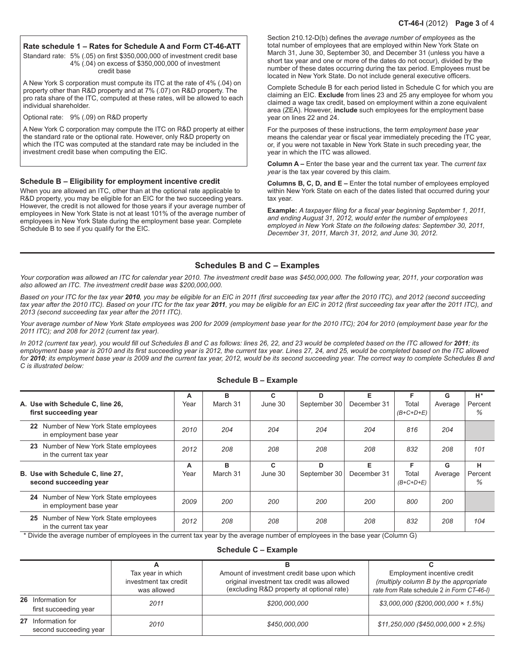### **CT-46-I** (2012) **Page 3** of 4

#### **Rate schedule 1 – Rates for Schedule A and Form CT-46-ATT**

Standard rate: 5% (.05) on first \$350,000,000 of investment credit base 4% (.04) on excess of \$350,000,000 of investment credit base

A New York S corporation must compute its ITC at the rate of 4% (.04) on property other than R&D property and at 7% (.07) on R&D property. The pro rata share of the ITC, computed at these rates, will be allowed to each individual shareholder.

Optional rate: 9% (.09) on R&D property

A New York C corporation may compute the ITC on R&D property at either the standard rate or the optional rate. However, only R&D property on which the ITC was computed at the standard rate may be included in the investment credit base when computing the EIC.

#### **Schedule B – Eligibility for employment incentive credit**

When you are allowed an ITC, other than at the optional rate applicable to R&D property, you may be eligible for an EIC for the two succeeding years. However, the credit is not allowed for those years if your average number of employees in New York State is not at least 101% of the average number of employees in New York State during the employment base year. Complete Schedule B to see if you qualify for the EIC.

Section 210.12-D(b) defines the *average number of employees* as the total number of employees that are employed within New York State on March 31, June 30, September 30, and December 31 (unless you have a short tax year and one or more of the dates do not occur), divided by the number of these dates occurring during the tax period. Employees must be located in New York State. Do not include general executive officers.

Complete Schedule B for each period listed in Schedule C for which you are claiming an EIC. **Exclude** from lines 23 and 25 any employee for whom you claimed a wage tax credit, based on employment within a zone equivalent area (ZEA). However, **include** such employees for the employment base year on lines 22 and 24.

For the purposes of these instructions, the term *employment base year* means the calendar year or fiscal year immediately preceding the ITC year, or, if you were not taxable in New York State in such preceding year, the year in which the ITC was allowed.

**Column A –** Enter the base year and the current tax year. The *current tax year* is the tax year covered by this claim.

**Columns B, C, D, and E –** Enter the total number of employees employed within New York State on each of the dates listed that occurred during your tax year.

**Example:** *A taxpayer filing for a fiscal year beginning September 1, 2011, and ending August 31, 2012, would enter the number of employees employed in New York State on the following dates: September 30, 2011, December 31, 2011, March 31, 2012, and June 30, 2012.*

### **Schedules B and C – Examples**

*Your corporation was allowed an ITC for calendar year 2010. The investment credit base was \$450,000,000. The following year, 2011, your corporation was also allowed an ITC. The investment credit base was \$200,000,000.*

*Based on your ITC for the tax year 2010, you may be eligible for an EIC in 2011 (first succeeding tax year after the 2010 ITC), and 2012 (second succeeding tax year after the 2010 ITC). Based on your ITC for the tax year 2011, you may be eligible for an EIC in 2012 (first succeeding tax year after the 2011 ITC), and 2013 (second succeeding tax year after the 2011 ITC).*

Your average number of New York State employees was 200 for 2009 (employment base year for the 2010 ITC); 204 for 2010 (employment base year for the *2011 ITC); and 208 for 2012 (current tax year).*

In 2012 (current tax year), you would fill out Schedules B and C as follows: lines 26, 22, and 23 would be completed based on the ITC allowed for 2011; its employment base year is 2010 and its first succeeding year is 2012, the current tax year. Lines 27, 24, and 25, would be completed based on the ITC allowed *for 2010; its employment base year is 2009 and the current tax year, 2012, would be its second succeeding year. The correct way to complete Schedules B and C is illustrated below:*

| A. Use with Schedule C, line 26,<br>first succeeding year           | A<br>Year | в<br>March 31 | c<br>June 30 | D<br>September 30 | Е<br>December 31 | F<br>Total<br>$(B+C+D+E)$ | G<br>Average | H*<br>Percent<br>% |
|---------------------------------------------------------------------|-----------|---------------|--------------|-------------------|------------------|---------------------------|--------------|--------------------|
| Number of New York State employees<br>22<br>in employment base year | 2010      | 204           | 204          | 204               | 204              | 816                       | 204          |                    |
| Number of New York State employees<br>23<br>in the current tax year | 2012      | 208           | 208          | 208               | 208              | 832                       | 208          | 101                |
|                                                                     |           |               |              |                   |                  |                           |              |                    |
| B. Use with Schedule C, line 27,<br>second succeeding year          | A<br>Year | в<br>March 31 | C<br>June 30 | D<br>September 30 | Е<br>December 31 | F<br>Total<br>$(B+C+D+E)$ | G<br>Average | н<br>Percent<br>%  |
| 24<br>Number of New York State employees<br>in employment base year | 2009      | 200           | 200          | 200               | 200              | 800                       | 200          |                    |

#### **Schedule B – Example**

\* Divide the average number of employees in the current tax year by the average number of employees in the base year (Column G)

#### **Schedule C – Example**

|                                              | Tax year in which<br>investment tax credit<br>was allowed | Amount of investment credit base upon which<br>original investment tax credit was allowed<br>(excluding R&D property at optional rate) | Employment incentive credit<br>(multiply column B by the appropriate<br>rate from Rate schedule 2 in Form CT-46-I) |
|----------------------------------------------|-----------------------------------------------------------|----------------------------------------------------------------------------------------------------------------------------------------|--------------------------------------------------------------------------------------------------------------------|
| 26 Information for<br>first succeeding year  | 2011                                                      | \$200,000,000                                                                                                                          | $$3,000,000$ (\$200,000,000 $\times$ 1.5%)                                                                         |
| 27 Information for<br>second succeeding year | 2010                                                      | \$450,000,000                                                                                                                          | $$11,250,000 ($450,000,000 \times 2.5%)$                                                                           |